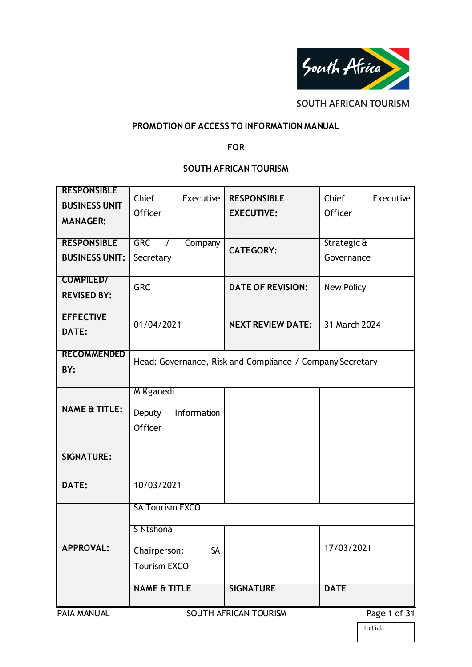

**SOUTH AFRICAN TOURISM** 

#### **PROMOTION OF ACCESS TO INFORMATION MANUAL**

#### **FOR**

### **SOUTH AFRICAN TOURISM**

| <b>RESPONSIBLE</b><br><b>BUSINESS UNIT</b><br><b>MANAGER:</b> | Chief<br>Executive<br>Officer                          | <b>RESPONSIBLE</b><br><b>EXECUTIVE:</b>                   | Chief<br>Executive<br>Officer |
|---------------------------------------------------------------|--------------------------------------------------------|-----------------------------------------------------------|-------------------------------|
| <b>RESPONSIBLE</b>                                            | <b>GRC</b><br>Company                                  | <b>CATEGORY:</b>                                          | Strategic &                   |
| <b>BUSINESS UNIT:</b>                                         | Secretary                                              |                                                           | Governance                    |
| <b>COMPILED/</b><br><b>REVISED BY:</b>                        | <b>GRC</b>                                             | <b>DATE OF REVISION:</b>                                  | New Policy                    |
| <b>EFFECTIVE</b><br>DATE:                                     | 01/04/2021                                             | <b>NEXT REVIEW DATE:</b>                                  | 31 March 2024                 |
| <b>RECOMMENDED</b><br>BY:                                     |                                                        | Head: Governance, Risk and Compliance / Company Secretary |                               |
| <b>NAME &amp; TITLE:</b>                                      | M Kganedi<br>Deputy<br>Information<br>Officer          |                                                           |                               |
| <b>SIGNATURE:</b>                                             |                                                        |                                                           |                               |
| DATE:                                                         | 10/03/2021                                             |                                                           |                               |
|                                                               | <b>SA Tourism EXCO</b>                                 |                                                           |                               |
| <b>APPROVAL:</b>                                              | S Ntshona<br>Chairperson:<br>SA<br><b>Tourism EXCO</b> |                                                           | 17/03/2021                    |
|                                                               | <b>NAME &amp; TITLE</b>                                | <b>SIGNATURE</b>                                          | <b>DATE</b>                   |
| PAIA MANUAL                                                   |                                                        | SOUTH AFRICAN TOURISM                                     | Page 1 of 31                  |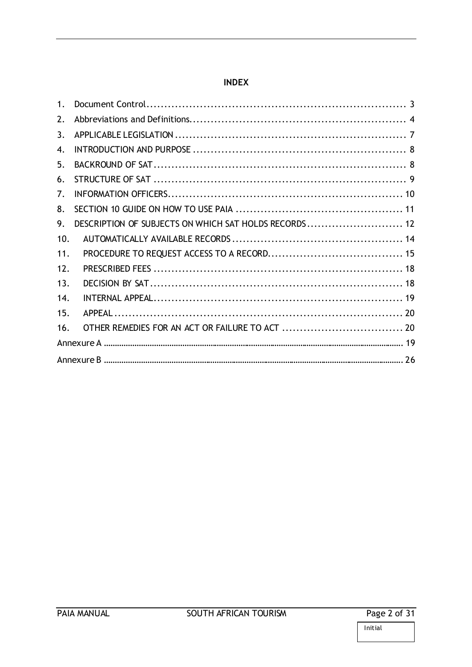#### **INDEX**

| 1 <sub>1</sub> |                                                       |  |
|----------------|-------------------------------------------------------|--|
| 2.             |                                                       |  |
| 3.             |                                                       |  |
| 4.             |                                                       |  |
| 5.             |                                                       |  |
| 6.             |                                                       |  |
| 7 <sub>1</sub> |                                                       |  |
| 8.             |                                                       |  |
| 9.             | DESCRIPTION OF SUBJECTS ON WHICH SAT HOLDS RECORDS 12 |  |
| 10.            |                                                       |  |
| 11.            |                                                       |  |
| 12.            |                                                       |  |
| 13.            |                                                       |  |
| 14.            |                                                       |  |
| 15.            |                                                       |  |
| 16.            |                                                       |  |
|                |                                                       |  |
|                |                                                       |  |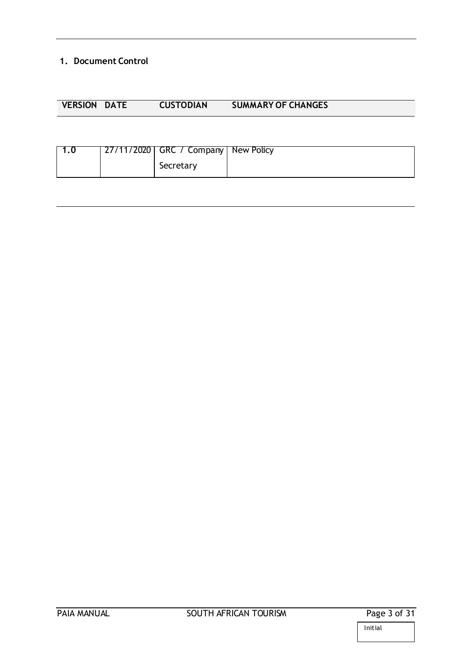### <span id="page-2-0"></span>**1. Document Control**

| <b>VERSION DATE</b> | <b>CUSTODIAN</b> | <b>SUMMARY OF CHANGES</b> |
|---------------------|------------------|---------------------------|

|  | 27/11/2020   GRC / Company   New Policy |  |
|--|-----------------------------------------|--|
|  | Secretary                               |  |

J.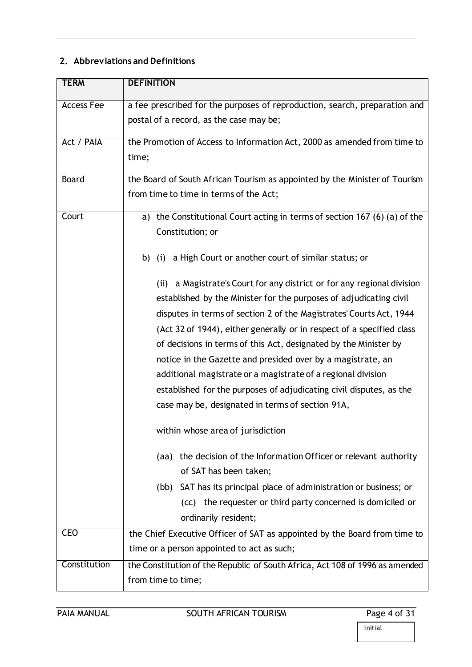# <span id="page-3-0"></span>**2. Abbreviations and Definitions**

| <b>TERM</b>       | <b>DEFINITION</b>                                                            |  |  |
|-------------------|------------------------------------------------------------------------------|--|--|
| <b>Access Fee</b> | a fee prescribed for the purposes of reproduction, search, preparation and   |  |  |
|                   | postal of a record, as the case may be;                                      |  |  |
| Act / PAIA        | the Promotion of Access to Information Act, 2000 as amended from time to     |  |  |
|                   | time;                                                                        |  |  |
| <b>Board</b>      | the Board of South African Tourism as appointed by the Minister of Tourism   |  |  |
|                   | from time to time in terms of the Act;                                       |  |  |
| Court             | the Constitutional Court acting in terms of section 167 (6) (a) of the<br>a) |  |  |
|                   | Constitution; or                                                             |  |  |
|                   | (i) a High Court or another court of similar status; or<br>b)                |  |  |
|                   | a Magistrate's Court for any district or for any regional division<br>(ii)   |  |  |
|                   | established by the Minister for the purposes of adjudicating civil           |  |  |
|                   | disputes in terms of section 2 of the Magistrates' Courts Act, 1944          |  |  |
|                   | (Act 32 of 1944), either generally or in respect of a specified class        |  |  |
|                   | of decisions in terms of this Act, designated by the Minister by             |  |  |
|                   | notice in the Gazette and presided over by a magistrate, an                  |  |  |
|                   | additional magistrate or a magistrate of a regional division                 |  |  |
|                   | established for the purposes of adjudicating civil disputes, as the          |  |  |
|                   | case may be, designated in terms of section 91A,                             |  |  |
|                   | within whose area of jurisdiction                                            |  |  |
|                   | the decision of the Information Officer or relevant authority<br>(aa)        |  |  |
|                   | of SAT has been taken;                                                       |  |  |
|                   | SAT has its principal place of administration or business; or<br>(bb)        |  |  |
|                   | the requester or third party concerned is domiciled or<br>(CC)               |  |  |
|                   | ordinarily resident;                                                         |  |  |
| <b>CEO</b>        | the Chief Executive Officer of SAT as appointed by the Board from time to    |  |  |
|                   | time or a person appointed to act as such;                                   |  |  |
| Constitution      | the Constitution of the Republic of South Africa, Act 108 of 1996 as amended |  |  |
|                   | from time to time;                                                           |  |  |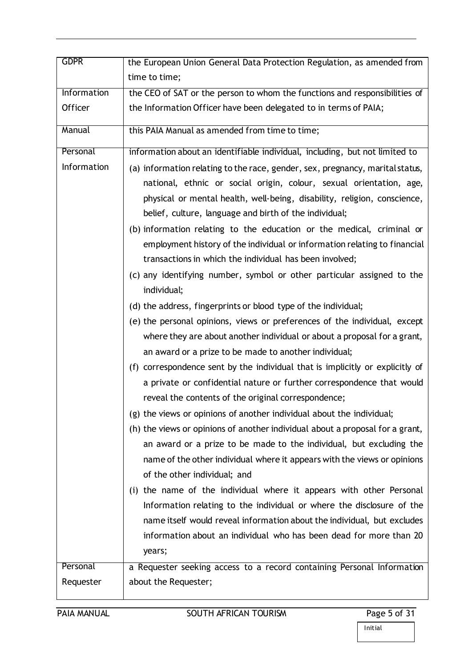| <b>GDPR</b> | the European Union General Data Protection Regulation, as amended from                                                                                                                                                                                                                                                                                                                                                                                                                                                                                                                                                                                                                                                                                                                                                                                                                                                                                                                                                                                                                                                                                                                                                                                                                                                                                                                                                                                                                                                                                                                                 |
|-------------|--------------------------------------------------------------------------------------------------------------------------------------------------------------------------------------------------------------------------------------------------------------------------------------------------------------------------------------------------------------------------------------------------------------------------------------------------------------------------------------------------------------------------------------------------------------------------------------------------------------------------------------------------------------------------------------------------------------------------------------------------------------------------------------------------------------------------------------------------------------------------------------------------------------------------------------------------------------------------------------------------------------------------------------------------------------------------------------------------------------------------------------------------------------------------------------------------------------------------------------------------------------------------------------------------------------------------------------------------------------------------------------------------------------------------------------------------------------------------------------------------------------------------------------------------------------------------------------------------------|
|             | time to time;                                                                                                                                                                                                                                                                                                                                                                                                                                                                                                                                                                                                                                                                                                                                                                                                                                                                                                                                                                                                                                                                                                                                                                                                                                                                                                                                                                                                                                                                                                                                                                                          |
| Information | the CEO of SAT or the person to whom the functions and responsibilities of                                                                                                                                                                                                                                                                                                                                                                                                                                                                                                                                                                                                                                                                                                                                                                                                                                                                                                                                                                                                                                                                                                                                                                                                                                                                                                                                                                                                                                                                                                                             |
| Officer     | the Information Officer have been delegated to in terms of PAIA;                                                                                                                                                                                                                                                                                                                                                                                                                                                                                                                                                                                                                                                                                                                                                                                                                                                                                                                                                                                                                                                                                                                                                                                                                                                                                                                                                                                                                                                                                                                                       |
| Manual      | this PAIA Manual as amended from time to time;                                                                                                                                                                                                                                                                                                                                                                                                                                                                                                                                                                                                                                                                                                                                                                                                                                                                                                                                                                                                                                                                                                                                                                                                                                                                                                                                                                                                                                                                                                                                                         |
| Personal    | information about an identifiable individual, including, but not limited to                                                                                                                                                                                                                                                                                                                                                                                                                                                                                                                                                                                                                                                                                                                                                                                                                                                                                                                                                                                                                                                                                                                                                                                                                                                                                                                                                                                                                                                                                                                            |
| Information | (a) information relating to the race, gender, sex, pregnancy, marital status,<br>national, ethnic or social origin, colour, sexual orientation, age,<br>physical or mental health, well-being, disability, religion, conscience,<br>belief, culture, language and birth of the individual;<br>(b) information relating to the education or the medical, criminal or<br>employment history of the individual or information relating to financial<br>transactions in which the individual has been involved;<br>(c) any identifying number, symbol or other particular assigned to the<br>individual;<br>(d) the address, fingerprints or blood type of the individual;<br>(e) the personal opinions, views or preferences of the individual, except<br>where they are about another individual or about a proposal for a grant,<br>an award or a prize to be made to another individual;<br>(f) correspondence sent by the individual that is implicitly or explicitly of<br>a private or confidential nature or further correspondence that would<br>reveal the contents of the original correspondence;<br>(g) the views or opinions of another individual about the individual;<br>(h) the views or opinions of another individual about a proposal for a grant,<br>an award or a prize to be made to the individual, but excluding the<br>name of the other individual where it appears with the views or opinions<br>of the other individual; and<br>(i) the name of the individual where it appears with other Personal<br>Information relating to the individual or where the disclosure of the |
|             | name itself would reveal information about the individual, but excludes                                                                                                                                                                                                                                                                                                                                                                                                                                                                                                                                                                                                                                                                                                                                                                                                                                                                                                                                                                                                                                                                                                                                                                                                                                                                                                                                                                                                                                                                                                                                |
|             | information about an individual who has been dead for more than 20<br>years;                                                                                                                                                                                                                                                                                                                                                                                                                                                                                                                                                                                                                                                                                                                                                                                                                                                                                                                                                                                                                                                                                                                                                                                                                                                                                                                                                                                                                                                                                                                           |
| Personal    | a Requester seeking access to a record containing Personal Information                                                                                                                                                                                                                                                                                                                                                                                                                                                                                                                                                                                                                                                                                                                                                                                                                                                                                                                                                                                                                                                                                                                                                                                                                                                                                                                                                                                                                                                                                                                                 |
|             |                                                                                                                                                                                                                                                                                                                                                                                                                                                                                                                                                                                                                                                                                                                                                                                                                                                                                                                                                                                                                                                                                                                                                                                                                                                                                                                                                                                                                                                                                                                                                                                                        |
| Requester   | about the Requester;                                                                                                                                                                                                                                                                                                                                                                                                                                                                                                                                                                                                                                                                                                                                                                                                                                                                                                                                                                                                                                                                                                                                                                                                                                                                                                                                                                                                                                                                                                                                                                                   |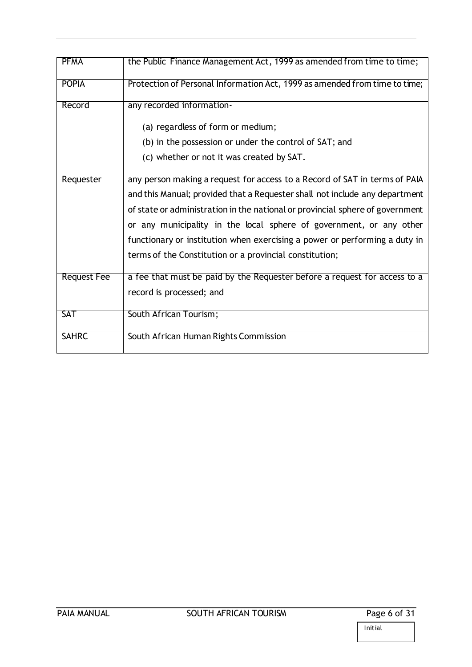| <b>PFMA</b>        | the Public Finance Management Act, 1999 as amended from time to time;         |
|--------------------|-------------------------------------------------------------------------------|
| <b>POPIA</b>       | Protection of Personal Information Act, 1999 as amended from time to time;    |
| Record             | any recorded information-                                                     |
|                    | (a) regardless of form or medium;                                             |
|                    | (b) in the possession or under the control of SAT; and                        |
|                    | (c) whether or not it was created by SAT.                                     |
| Requester          | any person making a request for access to a Record of SAT in terms of PAIA    |
|                    | and this Manual; provided that a Requester shall not include any department   |
|                    | of state or administration in the national or provincial sphere of government |
|                    | or any municipality in the local sphere of government, or any other           |
|                    | functionary or institution when exercising a power or performing a duty in    |
|                    | terms of the Constitution or a provincial constitution;                       |
| <b>Request Fee</b> | a fee that must be paid by the Requester before a request for access to a     |
|                    | record is processed; and                                                      |
| <b>SAT</b>         | South African Tourism;                                                        |
| <b>SAHRC</b>       | South African Human Rights Commission                                         |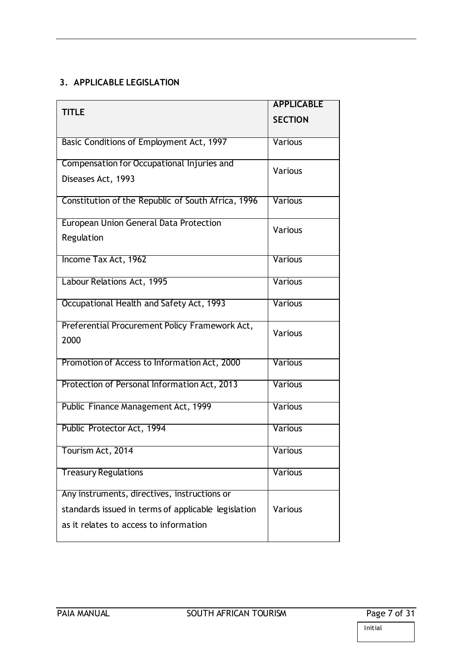# <span id="page-6-0"></span>**3. APPLICABLE LEGISLATION**

|                                                        | <b>APPLICABLE</b> |
|--------------------------------------------------------|-------------------|
| <b>TITLE</b>                                           | <b>SECTION</b>    |
| Basic Conditions of Employment Act, 1997               | <b>Various</b>    |
| Compensation for Occupational Injuries and             | Various           |
| Diseases Act, 1993                                     |                   |
| Constitution of the Republic of South Africa, 1996     | <b>Various</b>    |
| <b>European Union General Data Protection</b>          | Various           |
| Regulation                                             |                   |
| Income Tax Act, 1962                                   | <b>Various</b>    |
| Labour Relations Act, 1995                             | Various           |
| Occupational Health and Safety Act, 1993               | Various           |
| Preferential Procurement Policy Framework Act,<br>2000 | Various           |
|                                                        |                   |
| Promotion of Access to Information Act, 2000           | Various           |
| Protection of Personal Information Act, 2013           | Various           |
| Public Finance Management Act, 1999                    | <b>Various</b>    |
| Public Protector Act, 1994                             | <b>Various</b>    |
| Tourism Act, 2014                                      | <b>Various</b>    |
| <b>Treasury Regulations</b>                            | Various           |
| Any instruments, directives, instructions or           |                   |
| standards issued in terms of applicable legislation    | Various           |
| as it relates to access to information                 |                   |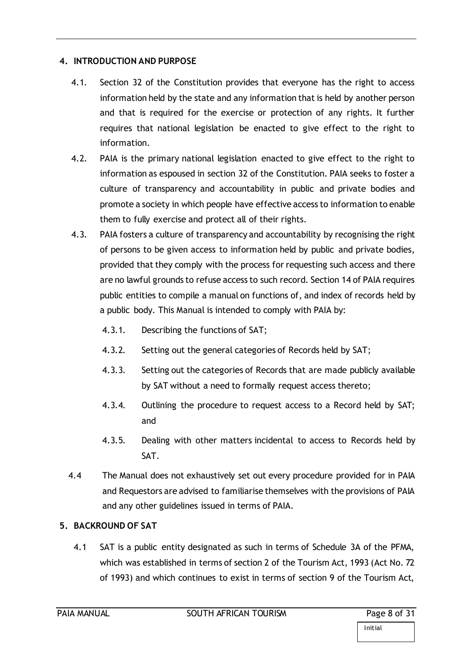## <span id="page-7-0"></span>**4. INTRODUCTION AND PURPOSE**

- 4.1. Section 32 of the Constitution provides that everyone has the right to access information held by the state and any information that is held by another person and that is required for the exercise or protection of any rights. It further requires that national legislation be enacted to give effect to the right to information.
- 4.2. PAIA is the primary national legislation enacted to give effect to the right to information as espoused in section 32 of the Constitution. PAIA seeks to foster a culture of transparency and accountability in public and private bodies and promote a society in which people have effective access to information to enable them to fully exercise and protect all of their rights.
- 4.3. PAIA fosters a culture of transparency and accountability by recognising the right of persons to be given access to information held by public and private bodies, provided that they comply with the process for requesting such access and there are no lawful grounds to refuse access to such record. Section 14 of PAIA requires public entities to compile a manual on functions of, and index of records held by a public body. This Manual is intended to comply with PAIA by:
	- 4.3.1. Describing the functions of SAT;
	- 4.3.2. Setting out the general categories of Records held by SAT;
	- 4.3.3. Setting out the categories of Records that are made publicly available by SAT without a need to formally request access thereto;
	- 4.3.4. Outlining the procedure to request access to a Record held by SAT; and
	- 4.3.5. Dealing with other matters incidental to access to Records held by SAT.
- 4.4 The Manual does not exhaustively set out every procedure provided for in PAIA and Requestors are advised to familiarise themselves with the provisions of PAIA and any other guidelines issued in terms of PAIA.

# <span id="page-7-1"></span>**5. BACKROUND OF SAT**

4.1 SAT is a public entity designated as such in terms of Schedule 3A of the PFMA, which was established in terms of section 2 of the Tourism Act, 1993 (Act No. 72 of 1993) and which continues to exist in terms of section 9 of the Tourism Act,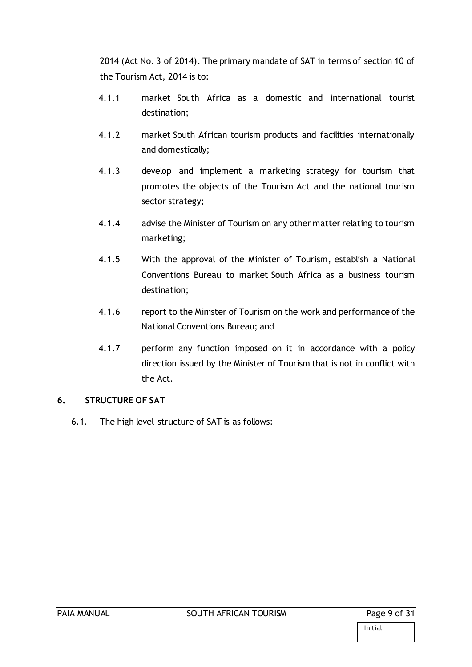2014 (Act No. 3 of 2014). The primary mandate of SAT in terms of section 10 of the Tourism Act, 2014 is to:

- 4.1.1 market South Africa as a domestic and international tourist destination;
- 4.1.2 market South African tourism products and facilities internationally and domestically;
- 4.1.3 develop and implement a marketing strategy for tourism that promotes the objects of the Tourism Act and the national tourism sector strategy;
- 4.1.4 advise the Minister of Tourism on any other matter relating to tourism marketing;
- 4.1.5 With the approval of the Minister of Tourism, establish a National Conventions Bureau to market South Africa as a business tourism destination;
- 4.1.6 report to the Minister of Tourism on the work and performance of the National Conventions Bureau; and
- 4.1.7 perform any function imposed on it in accordance with a policy direction issued by the Minister of Tourism that is not in conflict with the Act.

## <span id="page-8-0"></span>**6. STRUCTURE OF SAT**

6.1. The high level structure of SAT is as follows: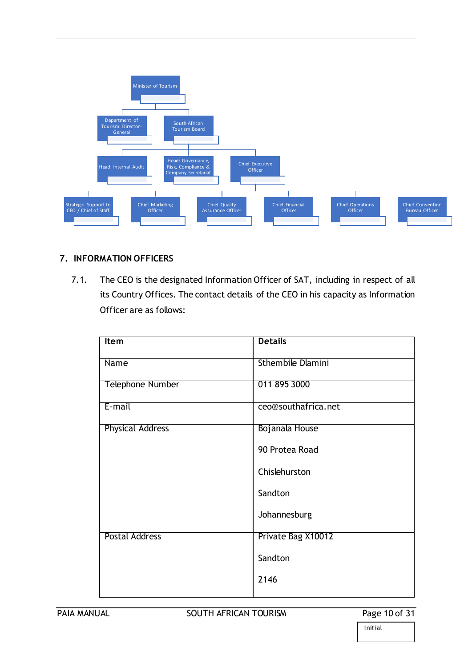

## <span id="page-9-0"></span>**7. INFORMATION OFFICERS**

7.1. The CEO is the designated Information Officer of SAT, including in respect of all its Country Offices. The contact details of the CEO in his capacity as Information Officer are as follows:

| <b>Item</b>             | <b>Details</b>           |
|-------------------------|--------------------------|
| <b>Name</b>             | <b>Sthembile Dlamini</b> |
| Telephone Number        | 011 895 3000             |
| E-mail                  | ceo@southafrica.net      |
| <b>Physical Address</b> | Bojanala House           |
|                         | 90 Protea Road           |
|                         | Chislehurston            |
|                         | Sandton                  |
|                         | Johannesburg             |
| <b>Postal Address</b>   | Private Bag X10012       |
|                         | Sandton                  |
|                         | 2146                     |
|                         |                          |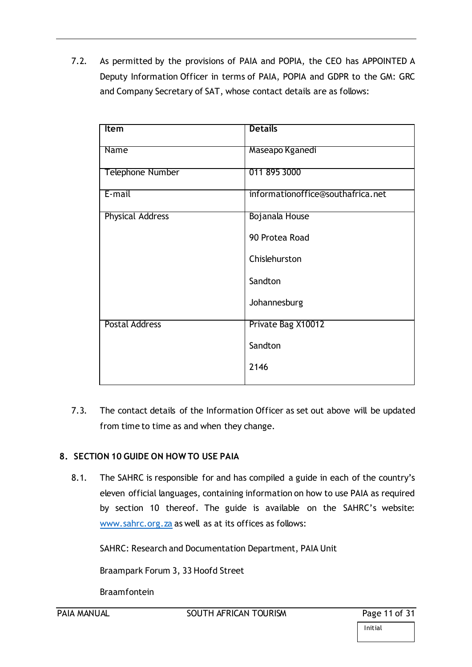7.2. As permitted by the provisions of PAIA and POPIA, the CEO has APPOINTED A Deputy Information Officer in terms of PAIA, POPIA and GDPR to the GM: GRC and Company Secretary of SAT, whose contact details are as follows:

| Item                    | <b>Details</b>                    |
|-------------------------|-----------------------------------|
|                         |                                   |
| Name                    | Maseapo Kganedi                   |
|                         |                                   |
| <b>Telephone Number</b> | 011 895 3000                      |
|                         |                                   |
| E-mail                  | informationoffice@southafrica.net |
|                         |                                   |
| <b>Physical Address</b> | Bojanala House                    |
|                         | 90 Protea Road                    |
|                         |                                   |
|                         | Chislehurston                     |
|                         |                                   |
|                         | Sandton                           |
|                         |                                   |
|                         | Johannesburg                      |
| <b>Postal Address</b>   | Private Bag X10012                |
|                         |                                   |
|                         | Sandton                           |
|                         |                                   |
|                         | 2146                              |
|                         |                                   |

7.3. The contact details of the Information Officer as set out above will be updated from time to time as and when they change.

# <span id="page-10-0"></span>**8. SECTION 10 GUIDE ON HOW TO USE PAIA**

8.1. The SAHRC is responsible for and has compiled a guide in each of the country's eleven official languages, containing information on how to use PAIA as required by section 10 thereof. The guide is available on the SAHRC's website: [www.sahrc.org.za](http://www.sahrc.org.za/) as well as at its offices as follows:

SAHRC: Research and Documentation Department, PAIA Unit

Braampark Forum 3, 33 Hoofd Street

Braamfontein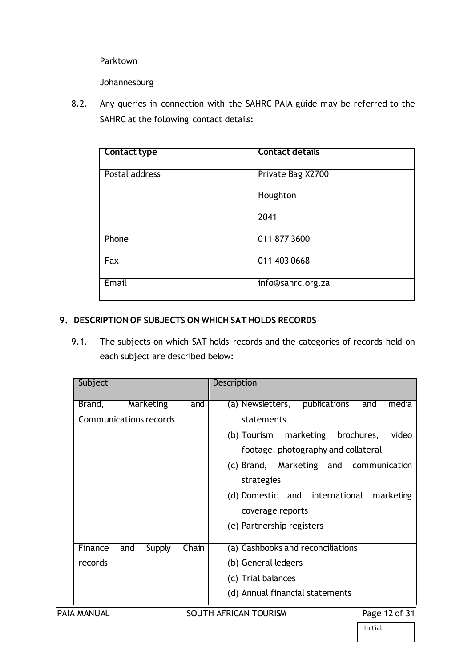Parktown

Johannesburg

8.2. Any queries in connection with the SAHRC PAIA guide may be referred to the SAHRC at the following contact details:

| <b>Contact type</b> | <b>Contact details</b> |
|---------------------|------------------------|
| Postal address      | Private Bag X2700      |
|                     | Houghton               |
|                     | 2041                   |
| Phone               | 011 877 3600           |
| Fax                 | 011 403 0668           |
| Email               | info@sahrc.org.za      |

## <span id="page-11-0"></span>**9. DESCRIPTION OF SUBJECTS ON WHICH SAT HOLDS RECORDS**

9.1. The subjects on which SAT holds records and the categories of records held on each subject are described below:

| Subject                    | Description                                      |
|----------------------------|--------------------------------------------------|
| Brand,<br>Marketing<br>and | publications<br>(a) Newsletters,<br>media<br>and |
| Communications records     | statements                                       |
|                            | (b) Tourism marketing brochures,<br>video        |
|                            | footage, photography and collateral              |
|                            | (c) Brand, Marketing and communication           |
|                            | strategies                                       |
|                            | (d) Domestic and international<br>marketing      |
|                            | coverage reports                                 |
|                            | (e) Partnership registers                        |
| Finance<br>Chain           |                                                  |
| Supply<br>and              | (a) Cashbooks and reconciliations                |
| records                    | (b) General ledgers                              |
|                            | (c) Trial balances                               |
|                            | (d) Annual financial statements                  |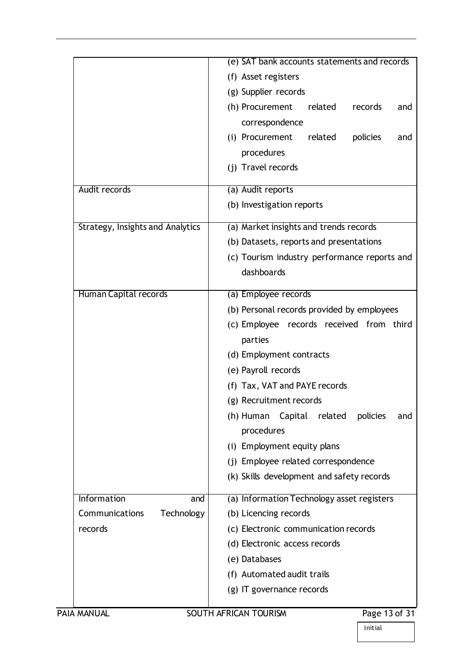|                                         | (e) SAT bank accounts statements and records       |
|-----------------------------------------|----------------------------------------------------|
|                                         | (f) Asset registers                                |
|                                         | (g) Supplier records                               |
|                                         | related<br>(h) Procurement<br>records<br>and       |
|                                         | correspondence                                     |
|                                         | (i) Procurement<br>related<br>policies<br>and      |
|                                         | procedures                                         |
|                                         | (i) Travel records                                 |
| Audit records                           | (a) Audit reports                                  |
|                                         | (b) Investigation reports                          |
| <b>Strategy, Insights and Analytics</b> | (a) Market insights and trends records             |
|                                         | (b) Datasets, reports and presentations            |
|                                         | (c) Tourism industry performance reports and       |
|                                         | dashboards                                         |
|                                         |                                                    |
| Human Capital records                   | (a) Employee records                               |
|                                         | (b) Personal records provided by employees         |
|                                         | (c) Employee records received from third           |
|                                         | parties                                            |
|                                         | (d) Employment contracts                           |
|                                         | (e) Payroll records                                |
|                                         | (f) Tax, VAT and PAYE records                      |
|                                         | (g) Recruitment records                            |
|                                         | (h) Human<br>Capital<br>related<br>policies<br>and |
|                                         | procedures                                         |
|                                         | (i) Employment equity plans                        |
|                                         | (j) Employee related correspondence                |
|                                         | (k) Skills development and safety records          |
| Information<br>and                      | (a) Information Technology asset registers         |
| Communications<br>Technology            | (b) Licencing records                              |
| records                                 | (c) Electronic communication records               |
|                                         | (d) Electronic access records                      |
|                                         | (e) Databases                                      |
|                                         | (f) Automated audit trails                         |
|                                         | (g) IT governance records                          |
| PAIA MANUAL                             | SOUTH AFRICAN TOURISM<br>Page 13 of 31             |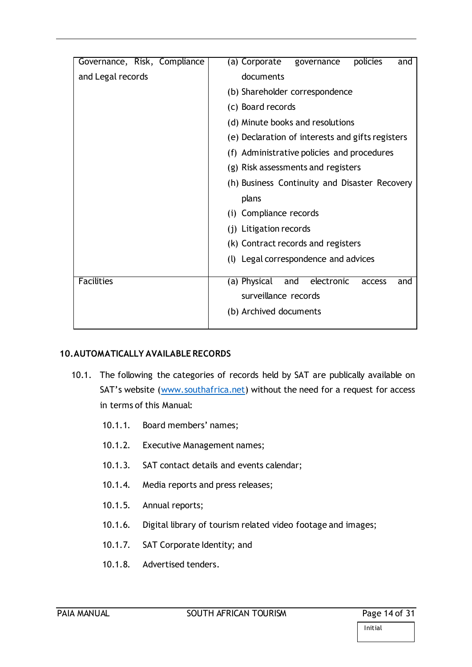| Governance, Risk, Compliance | policies<br>(a) Corporate<br>governance<br>and     |
|------------------------------|----------------------------------------------------|
| and Legal records            | documents                                          |
|                              | (b) Shareholder correspondence                     |
|                              | (c) Board records                                  |
|                              | (d) Minute books and resolutions                   |
|                              | (e) Declaration of interests and gifts registers   |
|                              | (f) Administrative policies and procedures         |
|                              | (g) Risk assessments and registers                 |
|                              | (h) Business Continuity and Disaster Recovery      |
|                              | plans                                              |
|                              | (i) Compliance records                             |
|                              | (j) Litigation records                             |
|                              | (k) Contract records and registers                 |
|                              | (l) Legal correspondence and advices               |
| <b>Facilities</b>            | (a) Physical<br>electronic<br>and<br>access<br>and |
|                              | surveillance records                               |
|                              | (b) Archived documents                             |
|                              |                                                    |

#### <span id="page-13-0"></span>**10.AUTOMATICALLY AVAILABLE RECORDS**

- 10.1. The following the categories of records held by SAT are publically available on SAT's website ([www.southafrica.net](http://www.southafrica.net/)) without the need for a request for access in terms of this Manual:
	- 10.1.1. Board members' names;
	- 10.1.2. Executive Management names;
	- 10.1.3. SAT contact details and events calendar;
	- 10.1.4. Media reports and press releases;
	- 10.1.5. Annual reports;
	- 10.1.6. Digital library of tourism related video footage and images;
	- 10.1.7. SAT Corporate Identity; and
	- 10.1.8. Advertised tenders.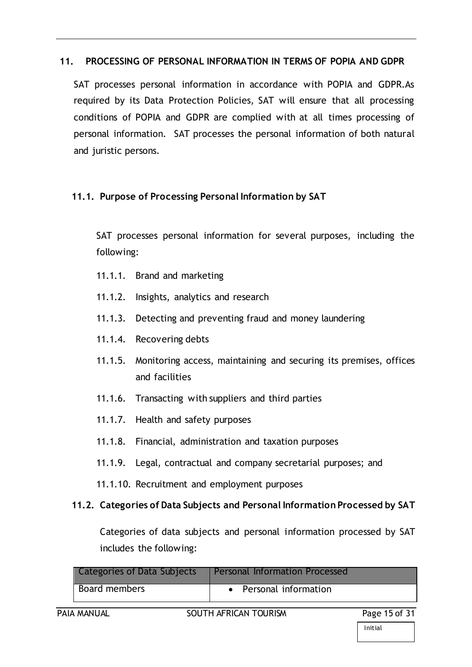# <span id="page-14-0"></span>**11. PROCESSING OF PERSONAL INFORMATION IN TERMS OF POPIA AND GDPR**

SAT processes personal information in accordance with POPIA and GDPR.As required by its Data Protection Policies, SAT will ensure that all processing conditions of POPIA and GDPR are complied with at all times processing of personal information. SAT processes the personal information of both natural and juristic persons.

# **11.1. Purpose of Processing Personal Information by SAT**

SAT processes personal information for several purposes, including the following:

- 11.1.1. Brand and marketing
- 11.1.2. Insights, analytics and research
- 11.1.3. Detecting and preventing fraud and money laundering
- 11.1.4. Recovering debts
- 11.1.5. Monitoring access, maintaining and securing its premises, offices and facilities
- 11.1.6. Transacting with suppliers and third parties
- 11.1.7. Health and safety purposes
- 11.1.8. Financial, administration and taxation purposes
- 11.1.9. Legal, contractual and company secretarial purposes; and
- 11.1.10. Recruitment and employment purposes

# **11.2. Categories of Data Subjects and Personal Information Processed by SAT**

Categories of data subjects and personal information processed by SAT includes the following:

| Categories of Data Subjects | <b>Personal Information Processed</b> |               |
|-----------------------------|---------------------------------------|---------------|
| Board members               | • Personal information                |               |
| PAIA MANUAL                 | SOUTH AFRICAN TOURISM                 | Page 15 of 31 |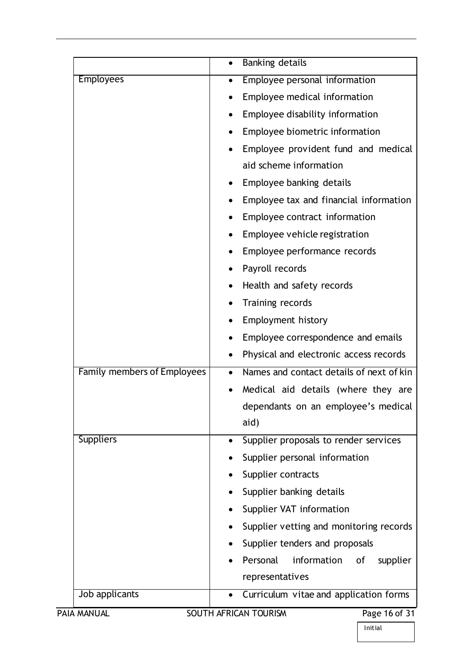|                                    | Banking details                                    |               |
|------------------------------------|----------------------------------------------------|---------------|
| <b>Employees</b>                   | Employee personal information<br>$\bullet$         |               |
|                                    | Employee medical information                       |               |
|                                    | Employee disability information                    |               |
|                                    | Employee biometric information                     |               |
|                                    | Employee provident fund and medical                |               |
|                                    | aid scheme information                             |               |
|                                    | Employee banking details                           |               |
|                                    | Employee tax and financial information             |               |
|                                    | Employee contract information                      |               |
|                                    | Employee vehicle registration                      |               |
|                                    | Employee performance records                       |               |
|                                    | Payroll records                                    |               |
|                                    | Health and safety records                          |               |
|                                    | Training records                                   |               |
|                                    | <b>Employment history</b>                          |               |
|                                    | Employee correspondence and emails                 |               |
|                                    | Physical and electronic access records             |               |
| <b>Family members of Employees</b> | Names and contact details of next of kin           |               |
|                                    | Medical aid details (where they are                |               |
|                                    | dependants on an employee's medical                |               |
|                                    | aid)                                               |               |
| <b>Suppliers</b>                   | Supplier proposals to render services<br>$\bullet$ |               |
|                                    | Supplier personal information                      |               |
|                                    | Supplier contracts                                 |               |
|                                    | Supplier banking details                           |               |
|                                    | Supplier VAT information                           |               |
|                                    | Supplier vetting and monitoring records            |               |
|                                    | Supplier tenders and proposals                     |               |
|                                    | information<br>Personal<br>оf                      | supplier      |
|                                    | representatives                                    |               |
| Job applicants                     | Curriculum vitae and application forms             |               |
| PAIA MANUAL                        | SOUTH AFRICAN TOURISM                              | Page 16 of 31 |
|                                    | Initial                                            |               |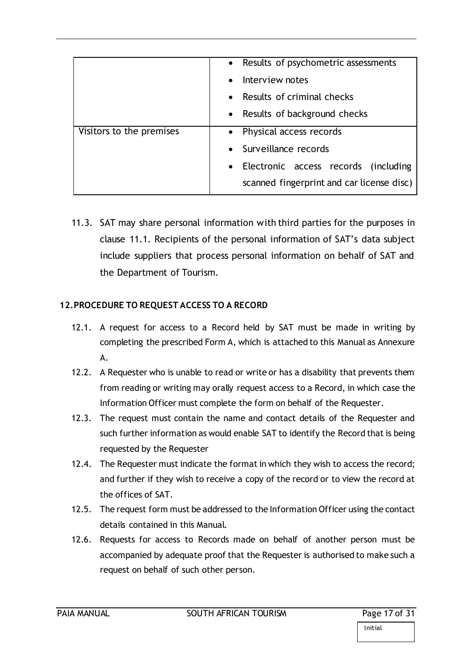|                          | • Results of psychometric assessments     |
|--------------------------|-------------------------------------------|
|                          | Interview notes                           |
|                          | Results of criminal checks                |
|                          | • Results of background checks            |
| Visitors to the premises | • Physical access records                 |
|                          | • Surveillance records                    |
|                          | Electronic access records (including      |
|                          | scanned fingerprint and car license disc) |

11.3. SAT may share personal information with third parties for the purposes in clause 11.1. Recipients of the personal information of SAT's data subject include suppliers that process personal information on behalf of SAT and the Department of Tourism.

# **12.PROCEDURE TO REQUEST ACCESS TO A RECORD**

- 12.1. A request for access to a Record held by SAT must be made in writing by completing the prescribed Form A, which is attached to this Manual as Annexure A.
- 12.2. A Requester who is unable to read or write or has a disability that prevents them from reading or writing may orally request access to a Record, in which case the Information Officer must complete the form on behalf of the Requester.
- 12.3. The request must contain the name and contact details of the Requester and such further information as would enable SAT to identify the Record that is being requested by the Requester
- 12.4. The Requester must indicate the format in which they wish to access the record; and further if they wish to receive a copy of the record or to view the record at the offices of SAT.
- 12.5. The request form must be addressed to the Information Officer using the contact details contained in this Manual.
- 12.6. Requests for access to Records made on behalf of another person must be accompanied by adequate proof that the Requester is authorised to make such a request on behalf of such other person.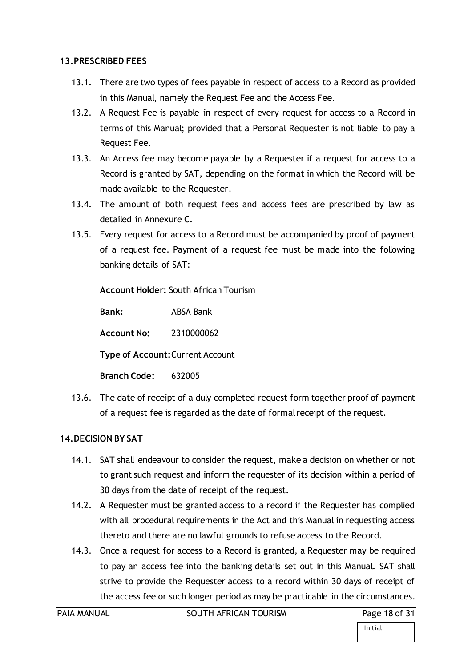### <span id="page-17-0"></span>**13.PRESCRIBED FEES**

- 13.1. There are two types of fees payable in respect of access to a Record as provided in this Manual, namely the Request Fee and the Access Fee.
- 13.2. A Request Fee is payable in respect of every request for access to a Record in terms of this Manual; provided that a Personal Requester is not liable to pay a Request Fee.
- 13.3. An Access fee may become payable by a Requester if a request for access to a Record is granted by SAT, depending on the format in which the Record will be made available to the Requester.
- 13.4. The amount of both request fees and access fees are prescribed by law as detailed in Annexure C.
- 13.5. Every request for access to a Record must be accompanied by proof of payment of a request fee. Payment of a request fee must be made into the following banking details of SAT:

**Account Holder:** South African Tourism

**Bank:** ABSA Bank

**Account No:** 2310000062

**Type of Account:**Current Account

**Branch Code:** 632005

13.6. The date of receipt of a duly completed request form together proof of payment of a request fee is regarded as the date of formal receipt of the request.

## <span id="page-17-1"></span>**14.DECISION BY SAT**

- 14.1. SAT shall endeavour to consider the request, make a decision on whether or not to grant such request and inform the requester of its decision within a period of 30 days from the date of receipt of the request.
- 14.2. A Requester must be granted access to a record if the Requester has complied with all procedural requirements in the Act and this Manual in requesting access thereto and there are no lawful grounds to refuse access to the Record.
- 14.3. Once a request for access to a Record is granted, a Requester may be required to pay an access fee into the banking details set out in this Manual. SAT shall strive to provide the Requester access to a record within 30 days of receipt of the access fee or such longer period as may be practicable in the circumstances.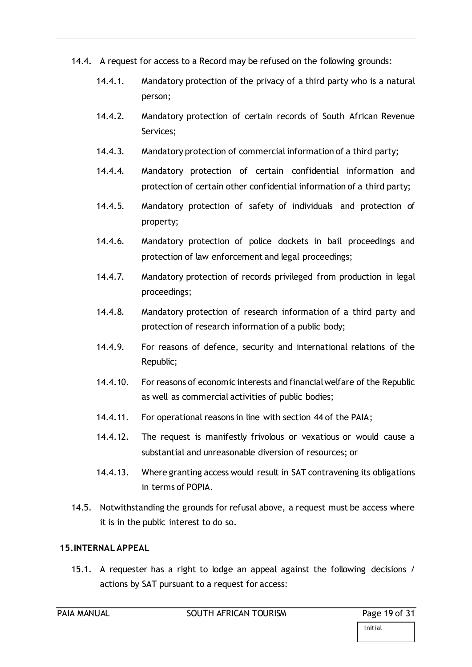- 14.4. A request for access to a Record may be refused on the following grounds:
	- 14.4.1. Mandatory protection of the privacy of a third party who is a natural person;
	- 14.4.2. Mandatory protection of certain records of South African Revenue Services;
	- 14.4.3. Mandatory protection of commercial information of a third party;
	- 14.4.4. Mandatory protection of certain confidential information and protection of certain other confidential information of a third party;
	- 14.4.5. Mandatory protection of safety of individuals and protection of property;
	- 14.4.6. Mandatory protection of police dockets in bail proceedings and protection of law enforcement and legal proceedings;
	- 14.4.7. Mandatory protection of records privileged from production in legal proceedings;
	- 14.4.8. Mandatory protection of research information of a third party and protection of research information of a public body;
	- 14.4.9. For reasons of defence, security and international relations of the Republic;
	- 14.4.10. For reasons of economic interests and financial welfare of the Republic as well as commercial activities of public bodies;
	- 14.4.11. For operational reasons in line with section 44 of the PAIA;
	- 14.4.12. The request is manifestly frivolous or vexatious or would cause a substantial and unreasonable diversion of resources; or
	- 14.4.13. Where granting access would result in SAT contravening its obligations in terms of POPIA.
- 14.5. Notwithstanding the grounds for refusal above, a request must be access where it is in the public interest to do so.

## <span id="page-18-0"></span>**15.INTERNAL APPEAL**

15.1. A requester has a right to lodge an appeal against the following decisions / actions by SAT pursuant to a request for access: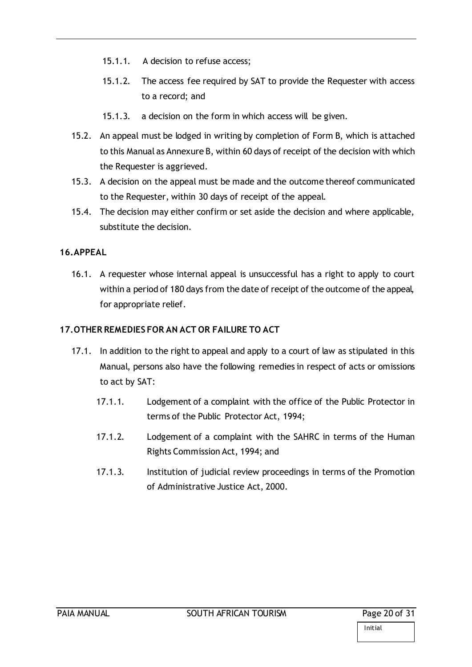- 15.1.1. A decision to refuse access;
- 15.1.2. The access fee required by SAT to provide the Requester with access to a record; and
- 15.1.3. a decision on the form in which access will be given.
- 15.2. An appeal must be lodged in writing by completion of Form B, which is attached to this Manual as Annexure B, within 60 days of receipt of the decision with which the Requester is aggrieved.
- 15.3. A decision on the appeal must be made and the outcome thereof communicated to the Requester, within 30 days of receipt of the appeal.
- 15.4. The decision may either confirm or set aside the decision and where applicable, substitute the decision.

## <span id="page-19-0"></span>**16.APPEAL**

16.1. A requester whose internal appeal is unsuccessful has a right to apply to court within a period of 180 days from the date of receipt of the outcome of the appeal, for appropriate relief.

## <span id="page-19-1"></span>**17.OTHER REMEDIES FOR AN ACT OR FAILURE TO ACT**

- 17.1. In addition to the right to appeal and apply to a court of law as stipulated in this Manual, persons also have the following remedies in respect of acts or omissions to act by SAT:
	- 17.1.1. Lodgement of a complaint with the office of the Public Protector in terms of the Public Protector Act, 1994;
	- 17.1.2. Lodgement of a complaint with the SAHRC in terms of the Human Rights Commission Act, 1994; and
	- 17.1.3. Institution of judicial review proceedings in terms of the Promotion of Administrative Justice Act, 2000.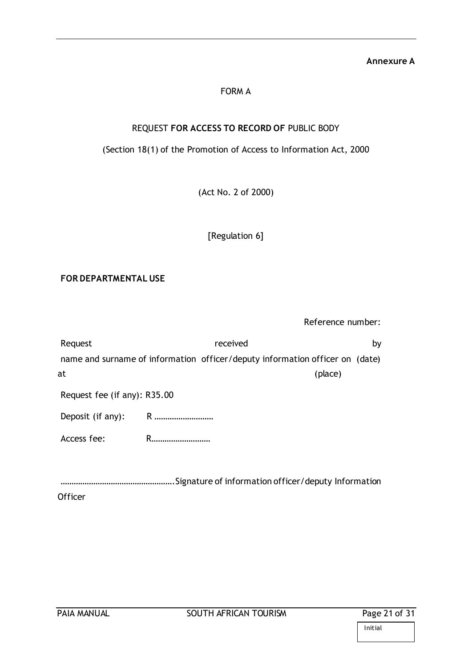#### **Annexure A**

## FORM A

### REQUEST **FOR ACCESS TO RECORD OF** PUBLIC BODY

## (Section 18(1) of the Promotion of Access to Information Act, 2000

(Act No. 2 of 2000)

[Regulation 6]

#### **FOR DEPARTMENTAL USE**

Reference number:

| Request                      | received                                                                     | bγ |
|------------------------------|------------------------------------------------------------------------------|----|
|                              | name and surname of information officer/deputy information officer on (date) |    |
| at                           | (place)                                                                      |    |
| Request fee (if any): R35.00 |                                                                              |    |
| Deposit (if any):            | R                                                                            |    |
| Access fee:                  | R.                                                                           |    |
|                              |                                                                              |    |

…………………………………………….Signature of information officer/deputy Information **Officer**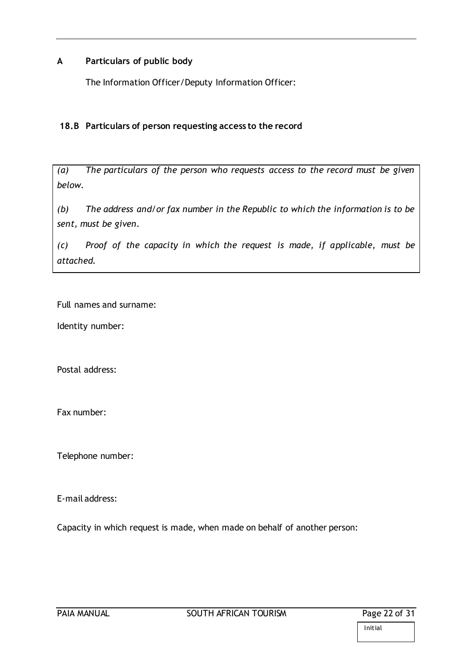### **A Particulars of public body**

The Information Officer/Deputy Information Officer:

### **18.B Particulars of person requesting access to the record**

*(a) The particulars of the person who requests access to the record must be given below.*

*(b) The address and/or fax number in the Republic to which the information is to be sent, must be given.*

*(c) Proof of the capacity in which the request is made, if applicable, must be attached.*

Full names and surname:

Identity number:

Postal address:

Fax number:

Telephone number:

E-mail address:

Capacity in which request is made, when made on behalf of another person: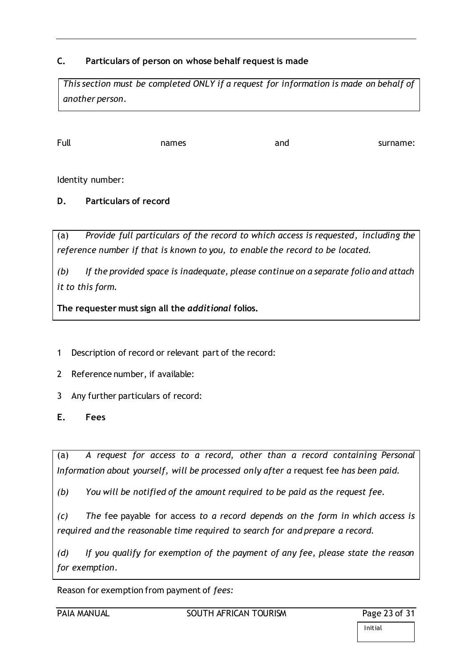## **C. Particulars of person on whose behalf request is made**

*This section must be completed ONLY if a request for information is made on behalf of another person.*

Full example in the names and surname:

Identity number:

**D. Particulars of record**

(a) *Provide full particulars of the record to which access is requested, including the reference number if that is known to you, to enable the record to be located.*

*(b) If the provided space is inadequate, please continue on a separate folio and attach it to this form.* 

**The requester must sign all the** *additional* **folios.**

- 1 Description of record or relevant part of the record:
- 2 Reference number, if available:
- 3 Any further particulars of record:
- **E. Fees**

(a) *A request for access to a record, other than a record containing Personal Information about yourself, will be processed only after a* request fee *has been paid.*

*(b) You will be notified of the amount required to be paid as the request fee.*

*(c) The* fee payable for access *to a record depends on the form in which access is required and the reasonable time required to search for and prepare a record.*

*(d) If you qualify for exemption of the payment of any fee, please state the reason for exemption.*

Reason for exemption from payment of *fees:*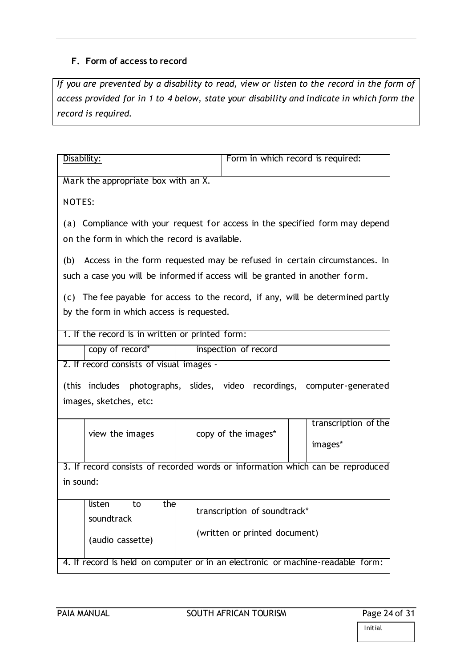### **F. Form of access to record**

*If you are prevented by a disability to read, view or listen to the record in the form of access provided for in 1 to 4 below, state your disability and indicate in which form the record is required.*

| Disability:                                                                    | Form in which record is required:                                               |  |  |
|--------------------------------------------------------------------------------|---------------------------------------------------------------------------------|--|--|
| Mark the appropriate box with an X.                                            |                                                                                 |  |  |
| <b>NOTES:</b>                                                                  |                                                                                 |  |  |
| on the form in which the record is available.                                  | (a) Compliance with your request for access in the specified form may depend    |  |  |
| such a case you will be informed if access will be granted in another form.    | (b) Access in the form requested may be refused in certain circumstances. In    |  |  |
|                                                                                | (c) The fee payable for access to the record, if any, will be determined partly |  |  |
| by the form in which access is requested.                                      |                                                                                 |  |  |
| 1. If the record is in written or printed form:                                |                                                                                 |  |  |
| copy of record*                                                                | inspection of record                                                            |  |  |
| 2. If record consists of visual images -                                       |                                                                                 |  |  |
|                                                                                | (this includes photographs, slides, video recordings, computer-generated        |  |  |
| images, sketches, etc:                                                         |                                                                                 |  |  |
| view the images                                                                | transcription of the<br>copy of the images*<br>images*                          |  |  |
| 3. If record consists of recorded words or information which can be reproduced |                                                                                 |  |  |
| in sound:                                                                      |                                                                                 |  |  |
| T listen<br>the<br>to<br>soundtrack                                            | transcription of soundtrack*                                                    |  |  |
| (audio cassette)                                                               | (written or printed document)                                                   |  |  |
|                                                                                |                                                                                 |  |  |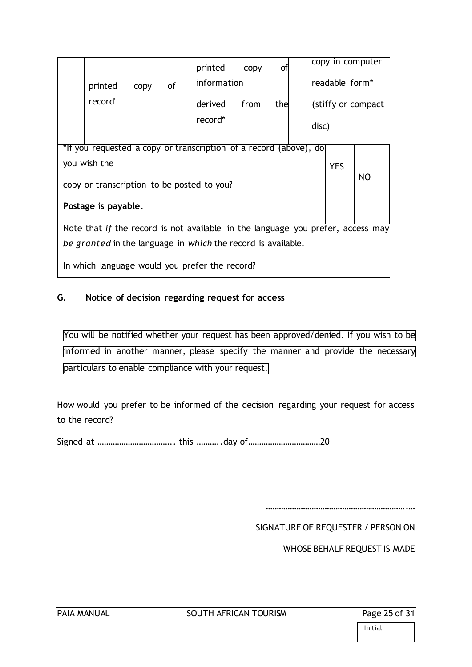|                                            |              |      |    | printed                                                                         | copy | οf  |       |                            | copy in computer    |
|--------------------------------------------|--------------|------|----|---------------------------------------------------------------------------------|------|-----|-------|----------------------------|---------------------|
|                                            | printed      | copy | οf | information                                                                     |      |     |       | readable form <sup>*</sup> |                     |
|                                            | record'      |      |    | derived                                                                         | from | the |       |                            | (stiffy or compact) |
|                                            |              |      |    | record*                                                                         |      |     | disc) |                            |                     |
|                                            |              |      |    | *If you requested a copy or transcription of a record (above), do               |      |     |       |                            |                     |
|                                            | you wish the |      |    |                                                                                 |      |     |       | <b>YES</b>                 |                     |
| copy or transcription to be posted to you? |              |      |    |                                                                                 | NO   |     |       |                            |                     |
| Postage is payable.                        |              |      |    |                                                                                 |      |     |       |                            |                     |
|                                            |              |      |    | Note that if the record is not available in the language you prefer, access may |      |     |       |                            |                     |
|                                            |              |      |    |                                                                                 |      |     |       |                            |                     |
|                                            |              |      |    | be granted in the language in which the record is available.                    |      |     |       |                            |                     |

In which language would you prefer the record?

# **G. Notice of decision regarding request for access**

You will be notified whether your request has been approved/denied. If you wish to be informed in another manner, please specify the manner and provide the necessary particulars to enable compliance with your request.

How would you prefer to be informed of the decision regarding your request for access to the record?

Signed at …………………………….. this ………..day of……………………………20

………………………………………………………..…

SIGNATURE OF REQUESTER / PERSON ON

WHOSE BEHALF REQUEST IS MADE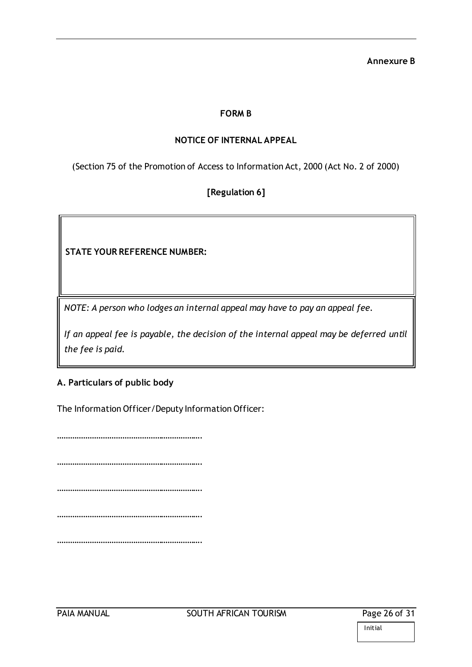#### **Annexure B**

### **FORM B**

### **NOTICE OF INTERNAL APPEAL**

(Section 75 of the Promotion of Access to Information Act, 2000 (Act No. 2 of 2000)

### **[Regulation 6]**

**STATE YOUR REFERENCE NUMBER:**

*NOTE: A person who lodges an internal appeal may have to pay an appeal fee.*

*If an appeal fee is payable, the decision of the internal appeal may be deferred until the fee is paid.* 

#### **A. Particulars of public body**

The Information Officer/Deputy Information Officer:

…………………………………………………………. …………………………………………………………. …………………………………………………………. ………………………………………………… …………………………………………………………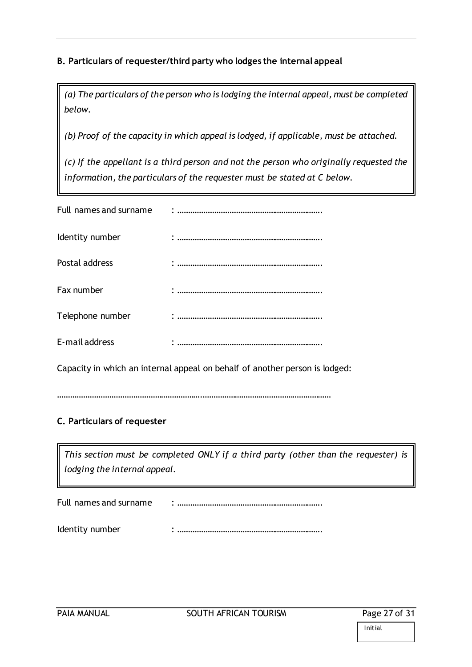# **B. Particulars of requester/third party who lodges the internal appeal**

*(a) The particulars of the person who is lodging the internal appeal, must be completed below.*

*(b) Proof of the capacity in which appeal is lodged, if applicable, must be attached.*

*(c) If the appellant is a third person and not the person who originally requested the information, the particulars of the requester must be stated at C below.* 

| Full names and surname |  |
|------------------------|--|
| Identity number        |  |
| Postal address         |  |
| Fax number             |  |
| Telephone number       |  |
| E-mail address         |  |

Capacity in which an internal appeal on behalf of another person is lodged:

………………………………………………………….……………………………………………………

# **C. Particulars of requester**

*This section must be completed ONLY if a third party (other than the requester) is lodging the internal appeal.*

Full names and surname : ………………………………………………………….

Identity number : ………………………………………………………….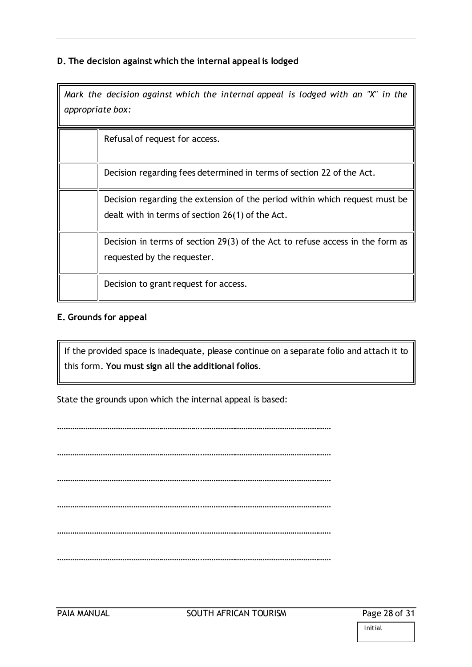## **D. The decision against which the internal appeal is lodged**

*Mark the decision against which the internal appeal is lodged with an "X" in the appropriate box:*

| Refusal of request for access.                                                                                                  |
|---------------------------------------------------------------------------------------------------------------------------------|
| Decision regarding fees determined in terms of section 22 of the Act.                                                           |
| Decision regarding the extension of the period within which request must be<br>dealt with in terms of section 26(1) of the Act. |
| Decision in terms of section 29(3) of the Act to refuse access in the form as<br>requested by the requester.                    |
| Decision to grant request for access.                                                                                           |

#### **E. Grounds for appeal**

If the provided space is inadequate, please continue on a separate folio and attach it to this form. **You must sign all the additional folios**.

State the grounds upon which the internal appeal is based:

………………………………………………………….…………………………………………………… ………………………………………………………….…………………………………………………… ………………………………………………………….…………………………………………………… ………………………………………………………….…………………………………………………… ………………………………………………………….…………………………………………………… ………………………………………………………….……………………………………………………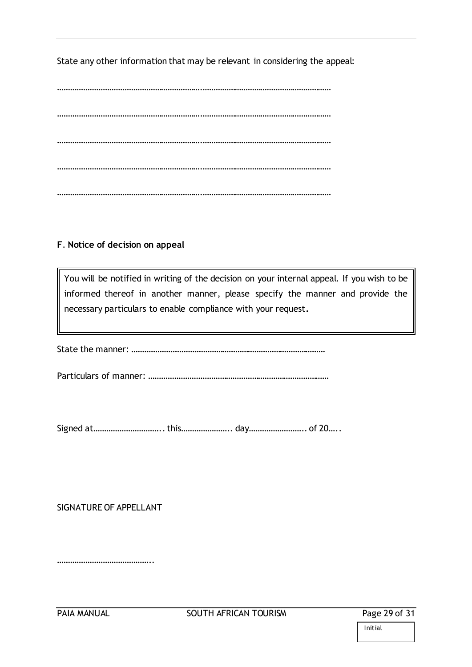State any other information that may be relevant in considering the appeal:

………………………………………………………….…………………………………………………… ………………………………………………………….…………………………………………………… ………………………………………………………….…………………………………………………… ………………………………………………………….…………………………………………………… ………………………………………………………….……………………………………………………

### **F**. **Notice of decision on appeal**

You will be notified in writing of the decision on your internal appeal. If you wish to be informed thereof in another manner, please specify the manner and provide the necessary particulars to enable compliance with your request**.**

State the manner: ………………………………………………………………………………

Particulars of manner: …………………………………………………………………………

Signed at………………………….. this………………….. day…………………….. of 20…..

#### SIGNATURE OF APPELLANT

…………………………………………

Initial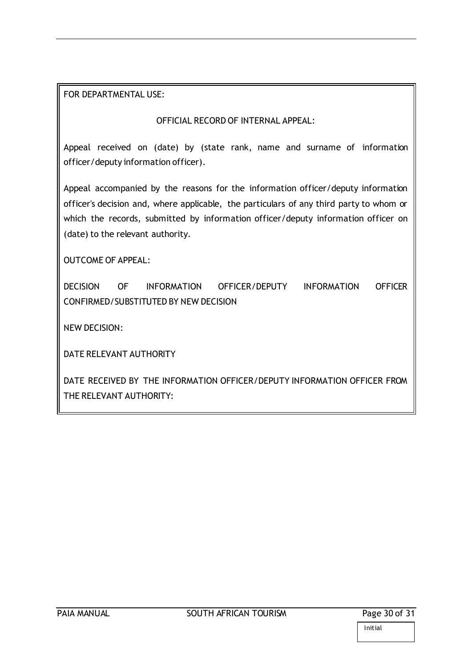### FOR DEPARTMENTAL USE:

### OFFICIAL RECORD OF INTERNAL APPEAL:

Appeal received on (date) by (state rank, name and surname of information officer/deputy information officer).

Appeal accompanied by the reasons for the information officer/deputy information officer's decision and, where applicable, the particulars of any third party to whom or which the records, submitted by information officer/deputy information officer on (date) to the relevant authority.

OUTCOME OF APPEAL:

DECISION OF INFORMATION OFFICER/DEPUTY INFORMATION OFFICER CONFIRMED/SUBSTITUTED BY NEW DECISION

NEW DECISION:

DATE RELEVANT AUTHORITY

DATE RECEIVED BY THE INFORMATION OFFICER/DEPUTY INFORMATION OFFICER FROM THE RELEVANT AUTHORITY: